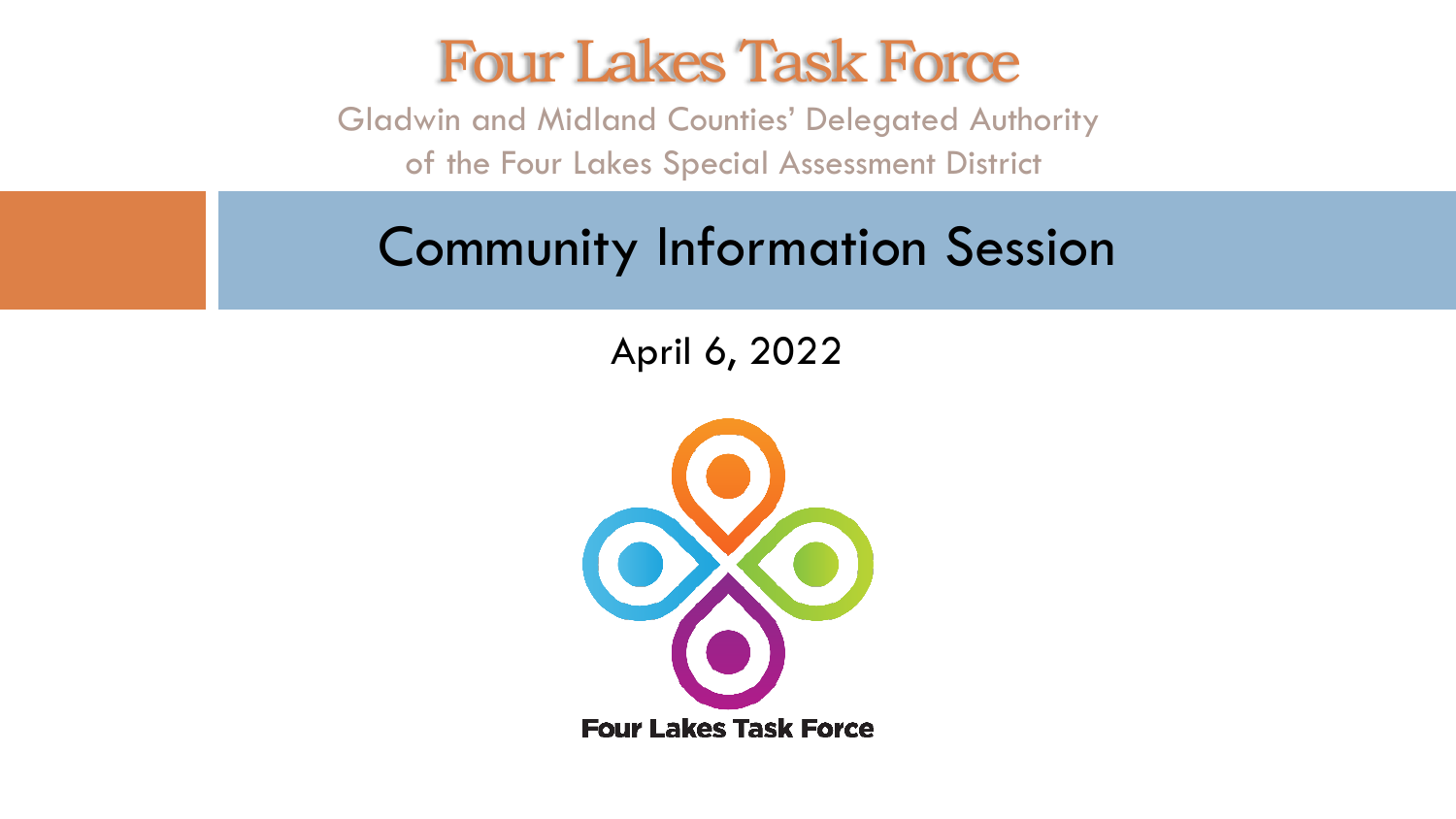#### Four Lakes Task Force

Gladwin and Midland Counties' Delegated Authority of the Four Lakes Special Assessment District

#### Community Information Session

#### April 6, 2022

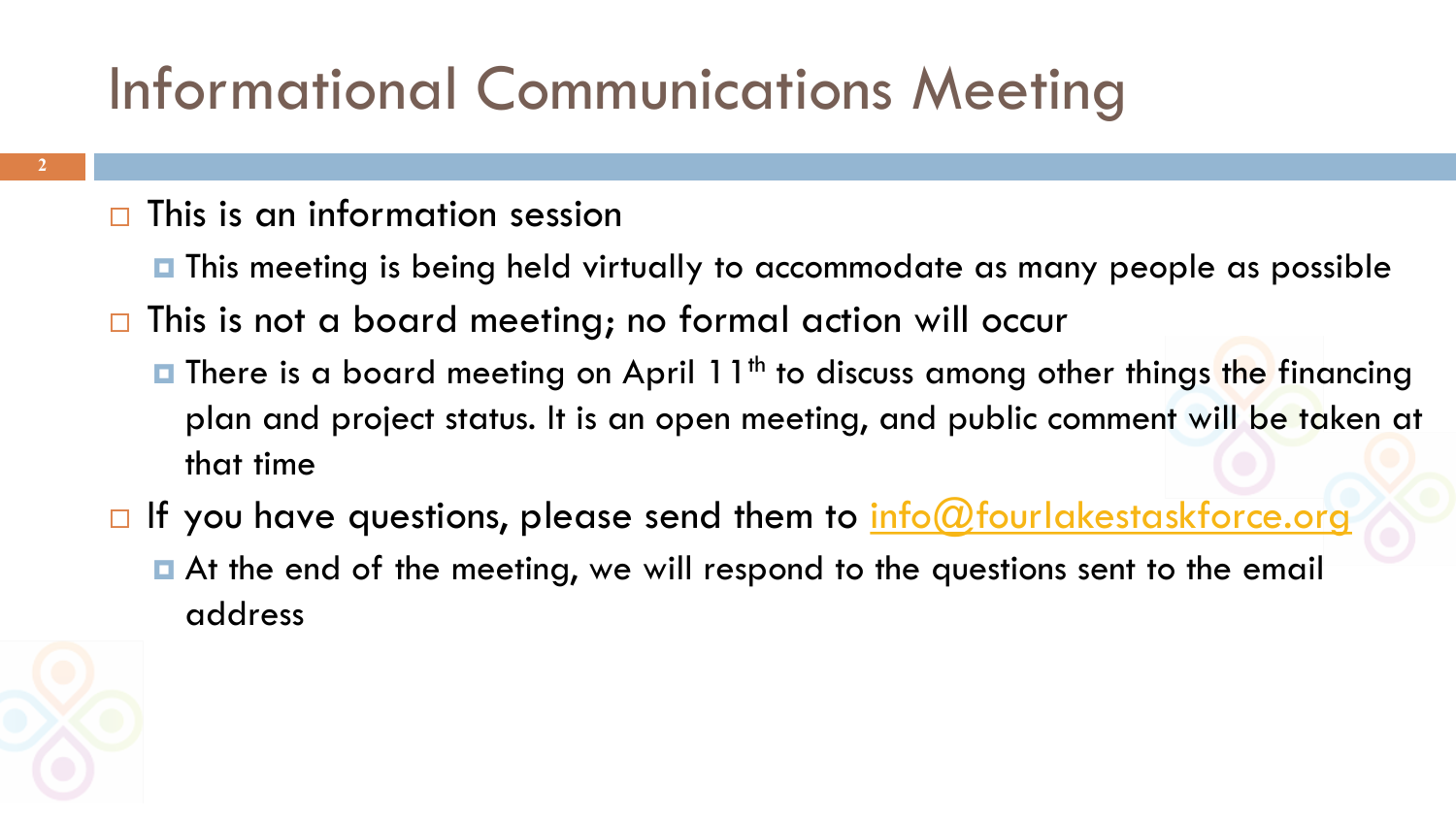# Informational Communications Meeting

#### $\Box$  This is an information session

- $\blacksquare$  This meeting is being held virtually to accommodate as many people as possible
- □ This is not a board meeting; no formal action will occur
	- **□** There is a board meeting on April 11<sup>th</sup> to discuss among other things the financing plan and project status. It is an open meeting, and public comment will be taken at that time
- $\Box$  If you have questions, please send them to  $info@fourlakestaskforce.org$ At the end of the meeting, we will respond to the questions sent to the email address



**2**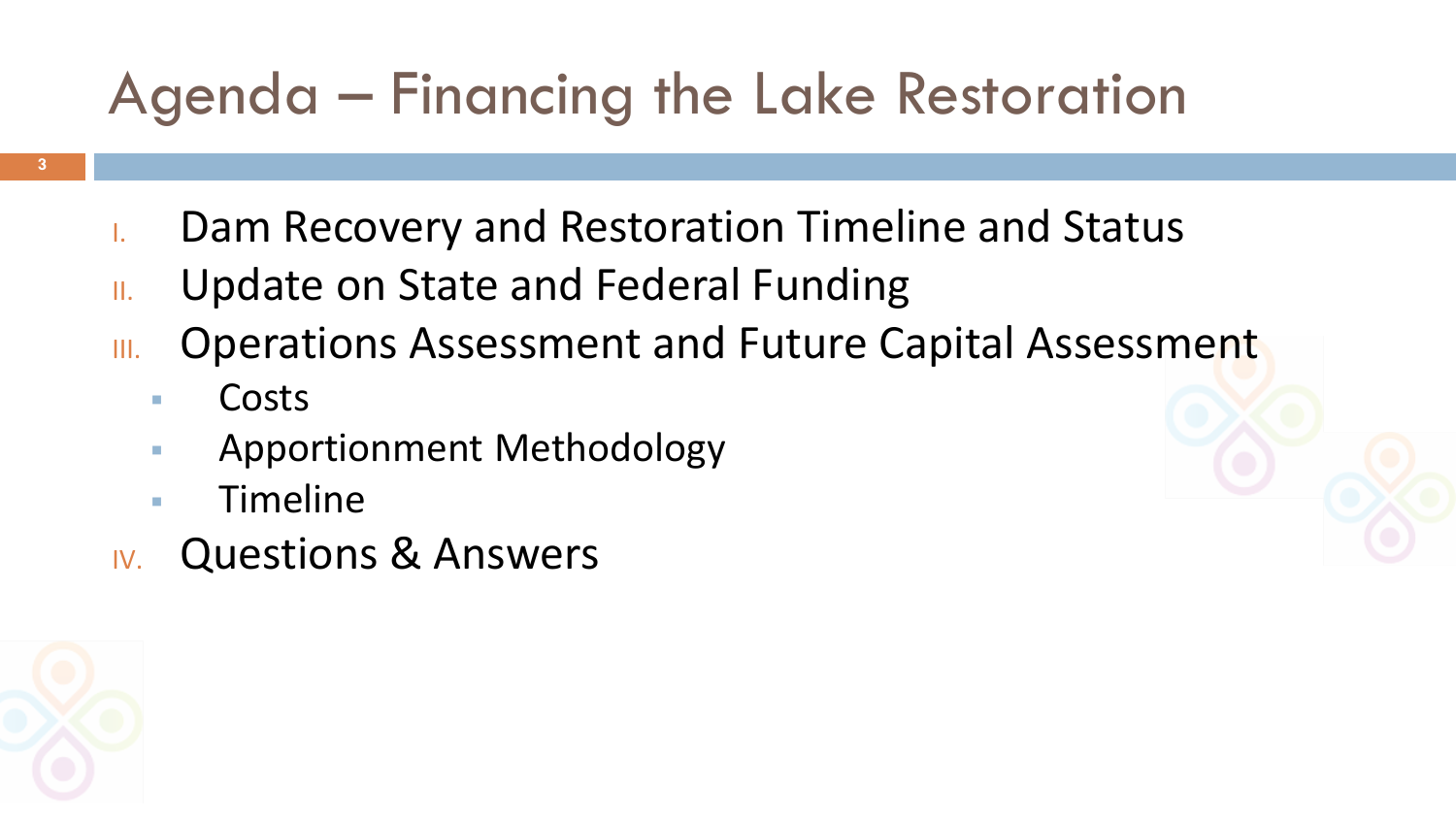### Agenda – Financing the Lake Restoration

- **3**
- I. Dam Recovery and Restoration Timeline and Status
- II. Update on State and Federal Funding
- III. Operations Assessment and Future Capital Assessment
	- **Costs**
	- Apportionment Methodology
	- **Timeline**
- IV. Questions & Answers

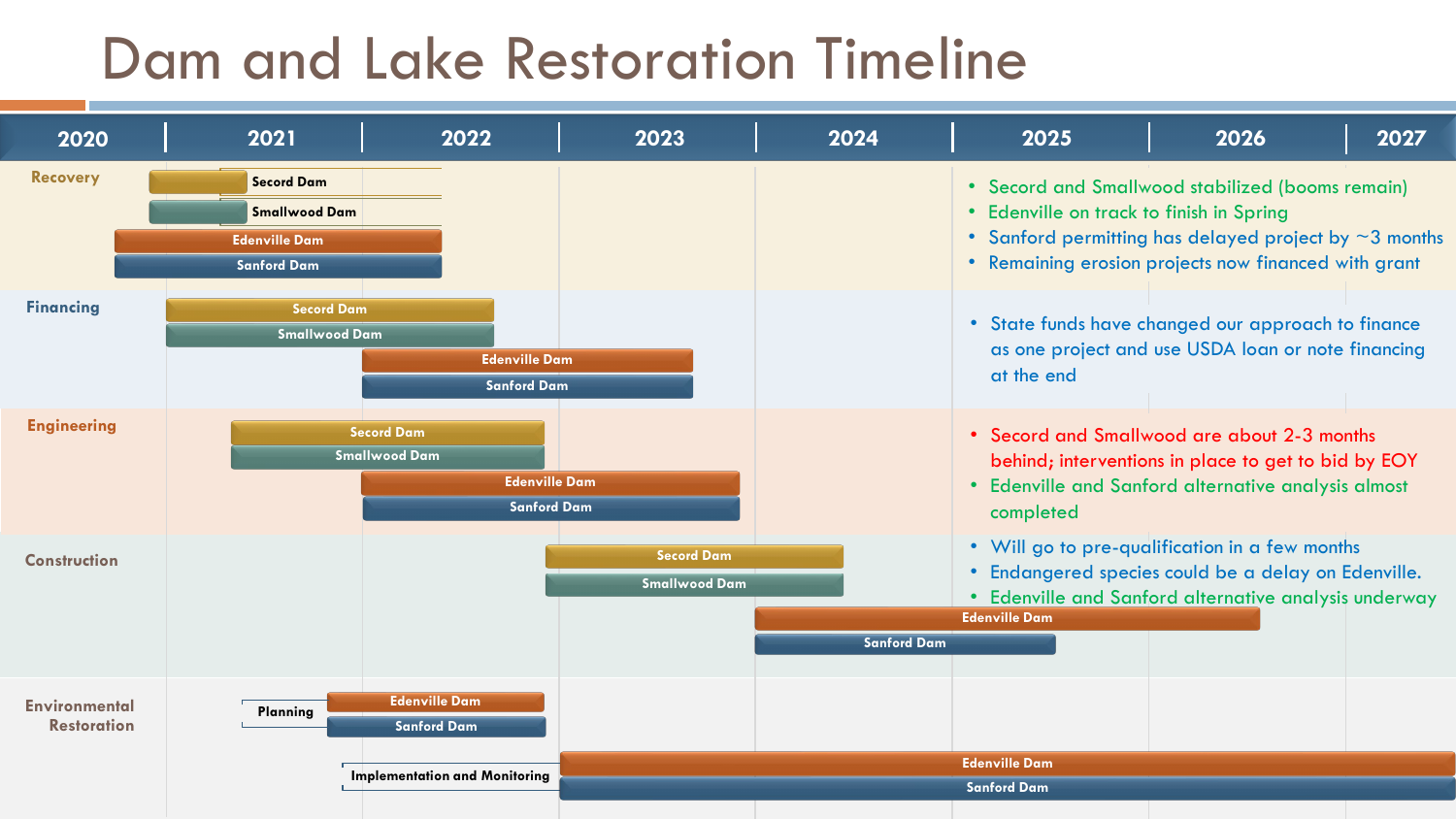#### Dam and Lake Restoration Timeline

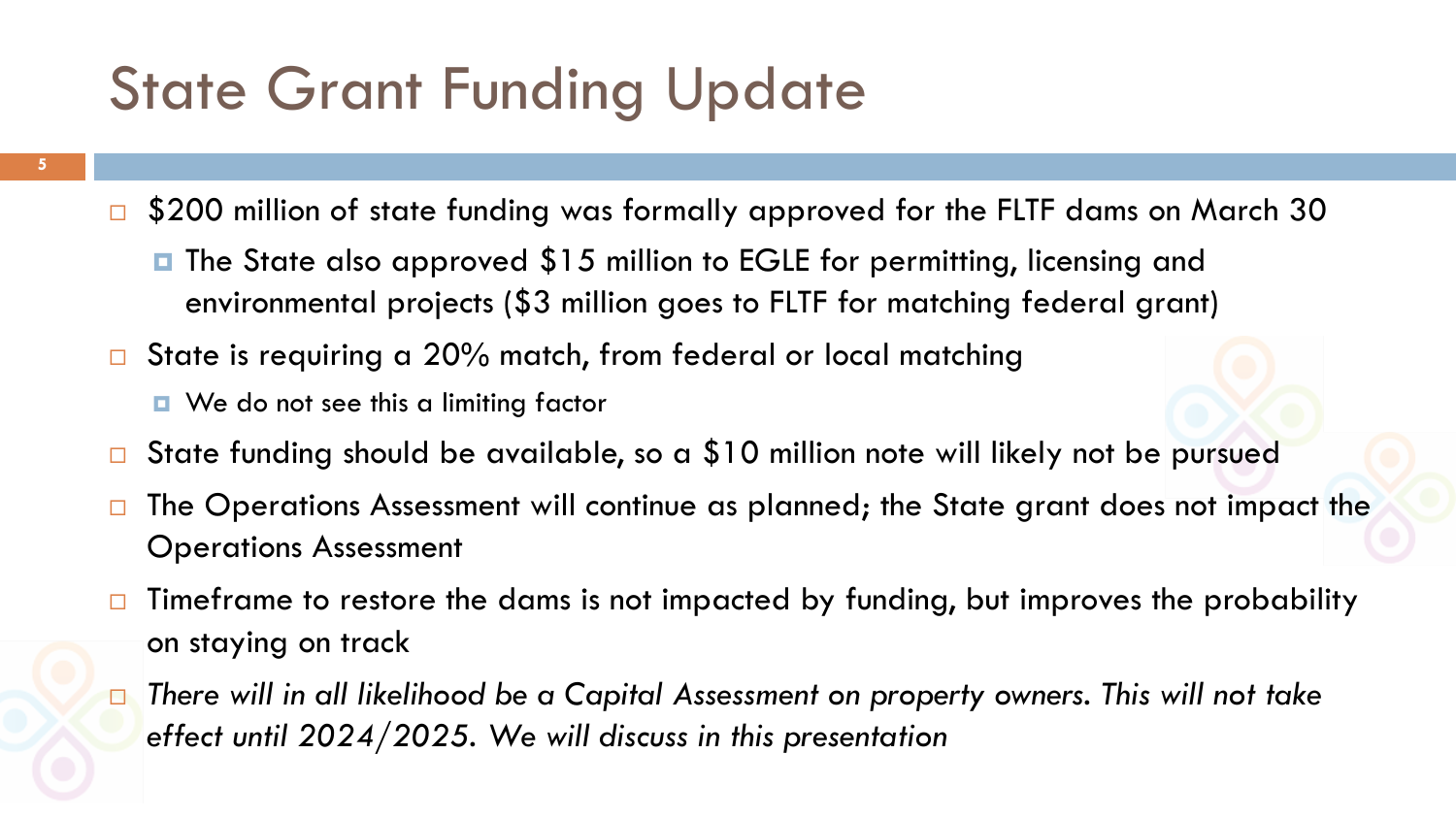### State Grant Funding Update

- **5**
- \$200 million of state funding was formally approved for the FLTF dams on March 30
	- **□** The State also approved \$15 million to EGLE for permitting, licensing and environmental projects (\$3 million goes to FLTF for matching federal grant)
- State is requiring a 20% match, from federal or local matching
	- **D** We do not see this a limiting factor
- State funding should be available, so a \$10 million note will likely not be pursued
- $\Box$  The Operations Assessment will continue as planned; the State grant does not impact the Operations Assessment
- $\Box$  Timeframe to restore the dams is not impacted by funding, but improves the probability on staying on track
- *There will in all likelihood be a Capital Assessment on property owners. This will not take effect until 2024/2025. We will discuss in this presentation*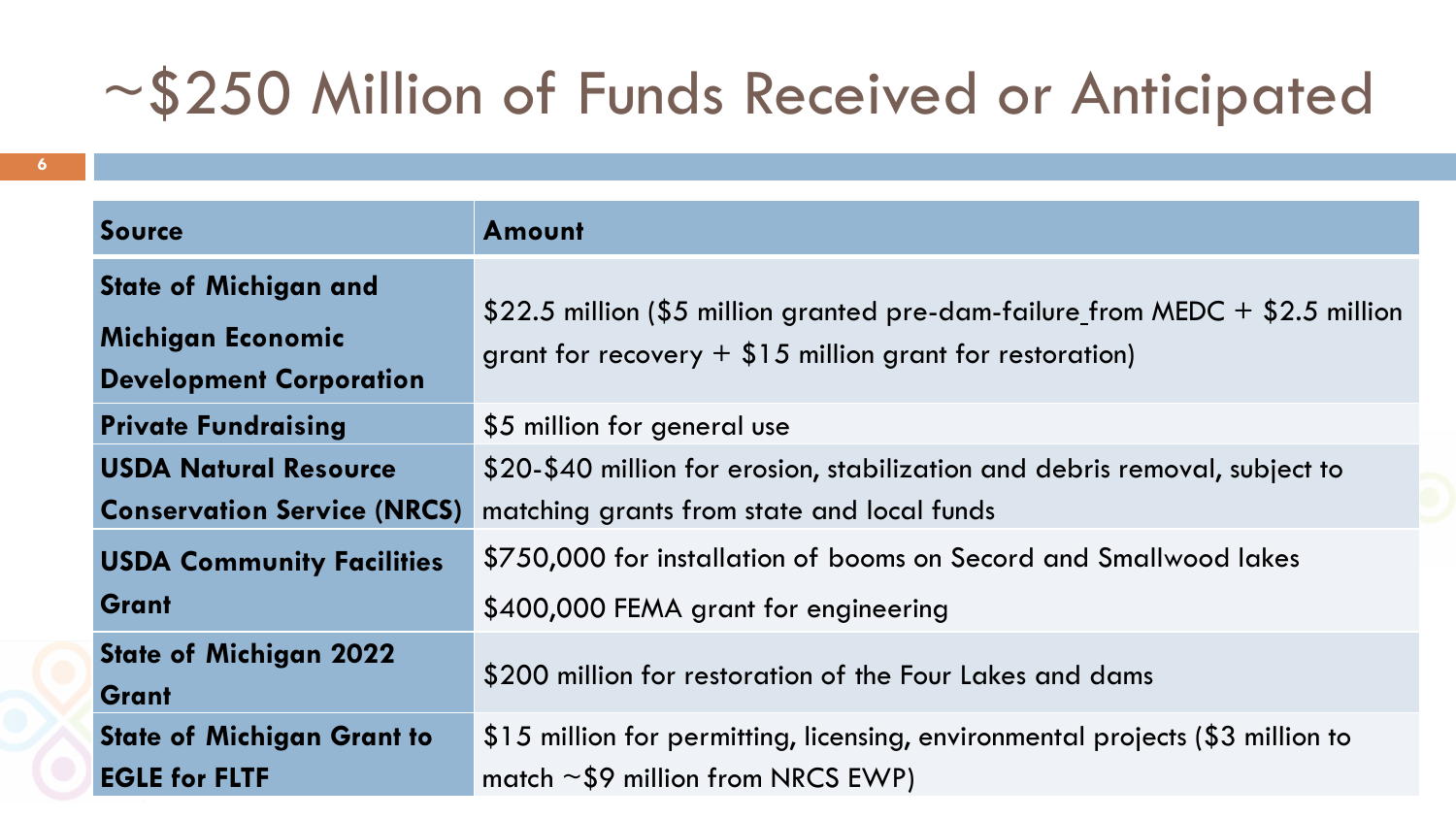### ~\$250 Million of Funds Received or Anticipated

| <b>Source</b>                      | <b>Amount</b>                                                                                                                               |  |  |  |
|------------------------------------|---------------------------------------------------------------------------------------------------------------------------------------------|--|--|--|
| <b>State of Michigan and</b>       |                                                                                                                                             |  |  |  |
| Michigan Economic                  | \$22.5 million (\$5 million granted pre-dam-failure_from MEDC + \$2.5 million<br>grant for recovery $+$ \$15 million grant for restoration) |  |  |  |
| <b>Development Corporation</b>     |                                                                                                                                             |  |  |  |
| <b>Private Fundraising</b>         | \$5 million for general use                                                                                                                 |  |  |  |
| <b>USDA Natural Resource</b>       | \$20-\$40 million for erosion, stabilization and debris removal, subject to                                                                 |  |  |  |
| <b>Conservation Service (NRCS)</b> | matching grants from state and local funds                                                                                                  |  |  |  |
| <b>USDA Community Facilities</b>   | \$750,000 for installation of booms on Secord and Smallwood lakes                                                                           |  |  |  |
| Grant                              | \$400,000 FEMA grant for engineering                                                                                                        |  |  |  |
| <b>State of Michigan 2022</b>      | \$200 million for restoration of the Four Lakes and dams                                                                                    |  |  |  |
| Grant                              |                                                                                                                                             |  |  |  |
| <b>State of Michigan Grant to</b>  | \$15 million for permitting, licensing, environmental projects (\$3 million to                                                              |  |  |  |
| <b>EGLE for FLTF</b>               | match $\sim$ \$9 million from NRCS EWP)                                                                                                     |  |  |  |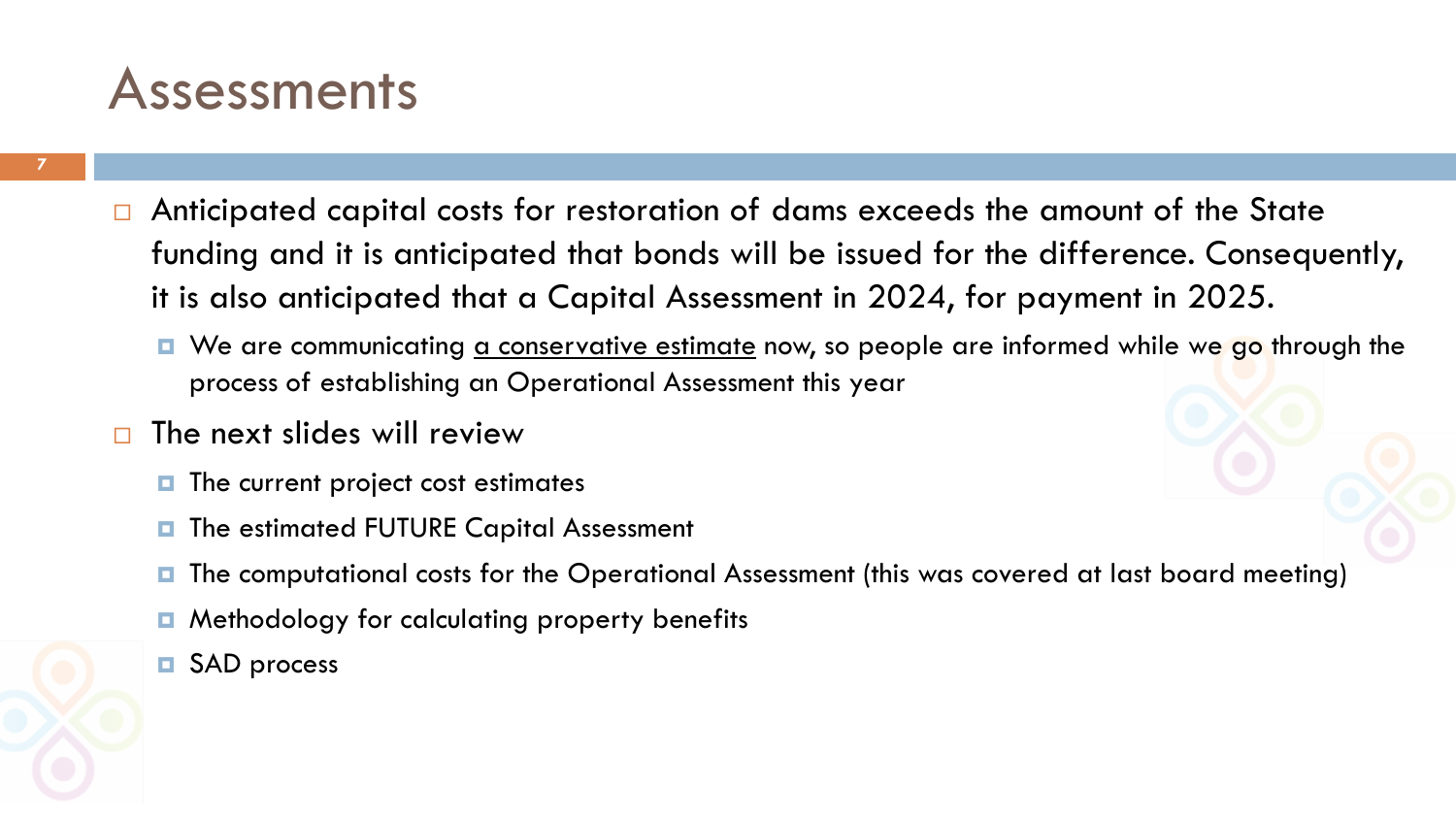#### **Assessments**

- $\Box$  Anticipated capital costs for restoration of dams exceeds the amount of the State funding and it is anticipated that bonds will be issued for the difference. Consequently, it is also anticipated that a Capital Assessment in 2024, for payment in 2025.
	- We are communicating <u>a conservative estimate</u> now, so people are informed while we go through the process of establishing an Operational Assessment this year
- $\Box$  The next slides will review
	- $\blacksquare$  The current project cost estimates
	- $\blacksquare$  The estimated FUTURE Capital Assessment
	- The computational costs for the Operational Assessment (this was covered at last board meeting)
	- **E** Methodology for calculating property benefits
	- **D** SAD process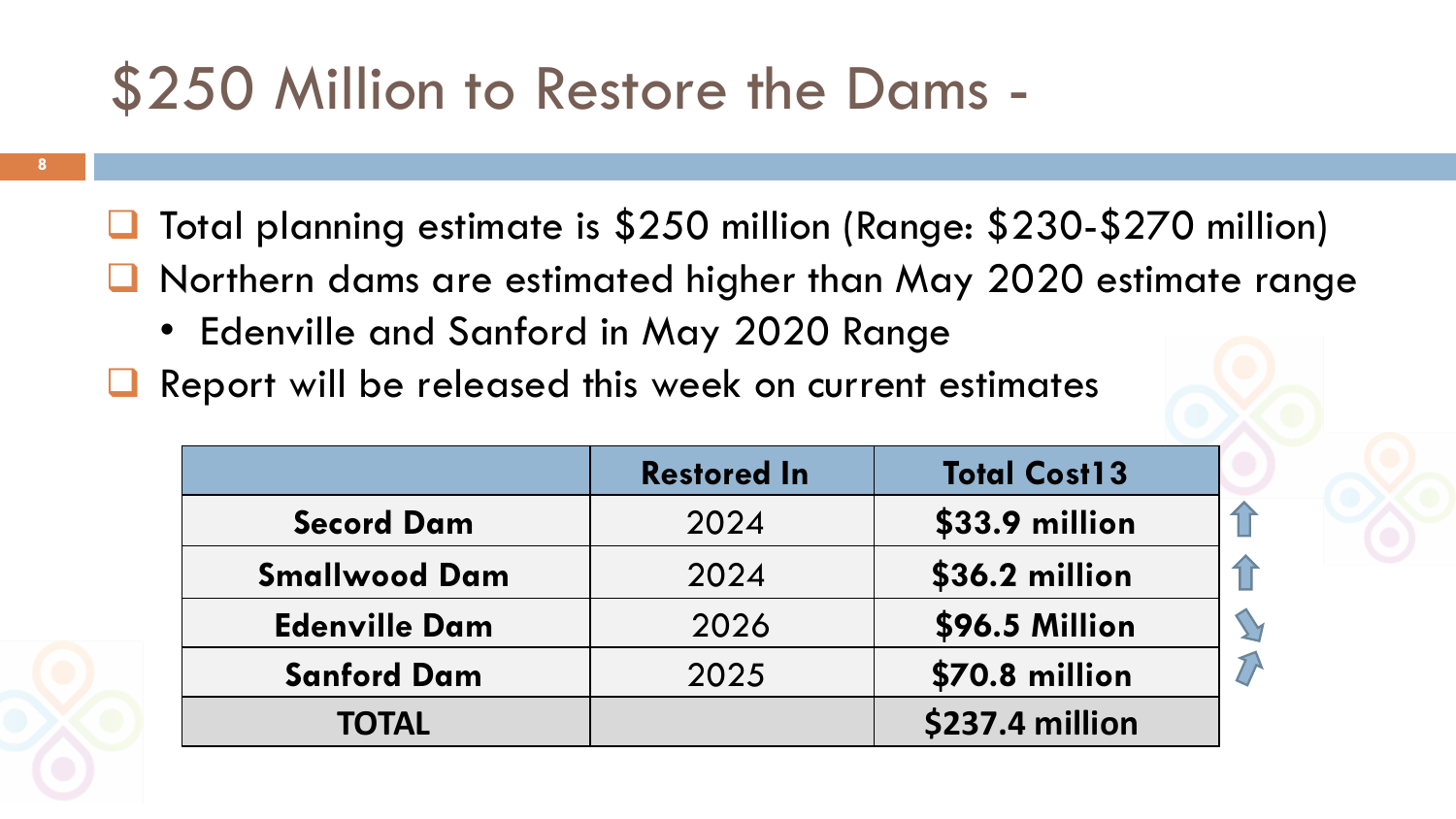### \$250 Million to Restore the Dams -

- **□** Total planning estimate is \$250 million (Range: \$230-\$270 million)
- Northern dams are estimated higher than May 2020 estimate range
	- Edenville and Sanford in May 2020 Range
- Report will be released this week on current estimates

|                      | <b>Restored In</b> | <b>Total Cost13</b> |
|----------------------|--------------------|---------------------|
| <b>Secord Dam</b>    | 2024               | \$33.9 million      |
| <b>Smallwood Dam</b> | 2024               | \$36.2 million      |
| <b>Edenville Dam</b> | 2026               | \$96.5 Million      |
| <b>Sanford Dam</b>   | 2025               | \$70.8 million      |
| <b>TOTAL</b>         |                    | \$237.4 million     |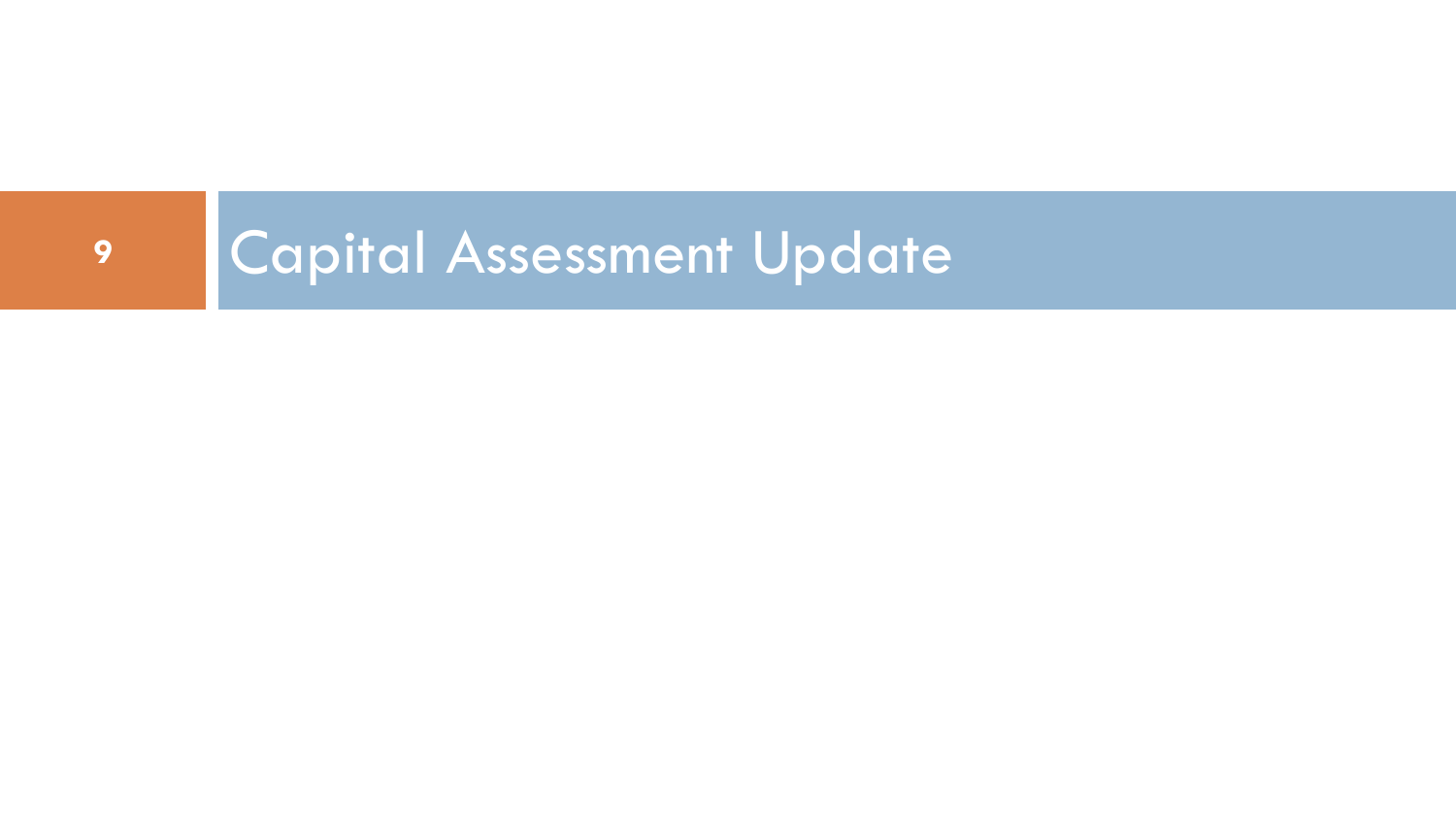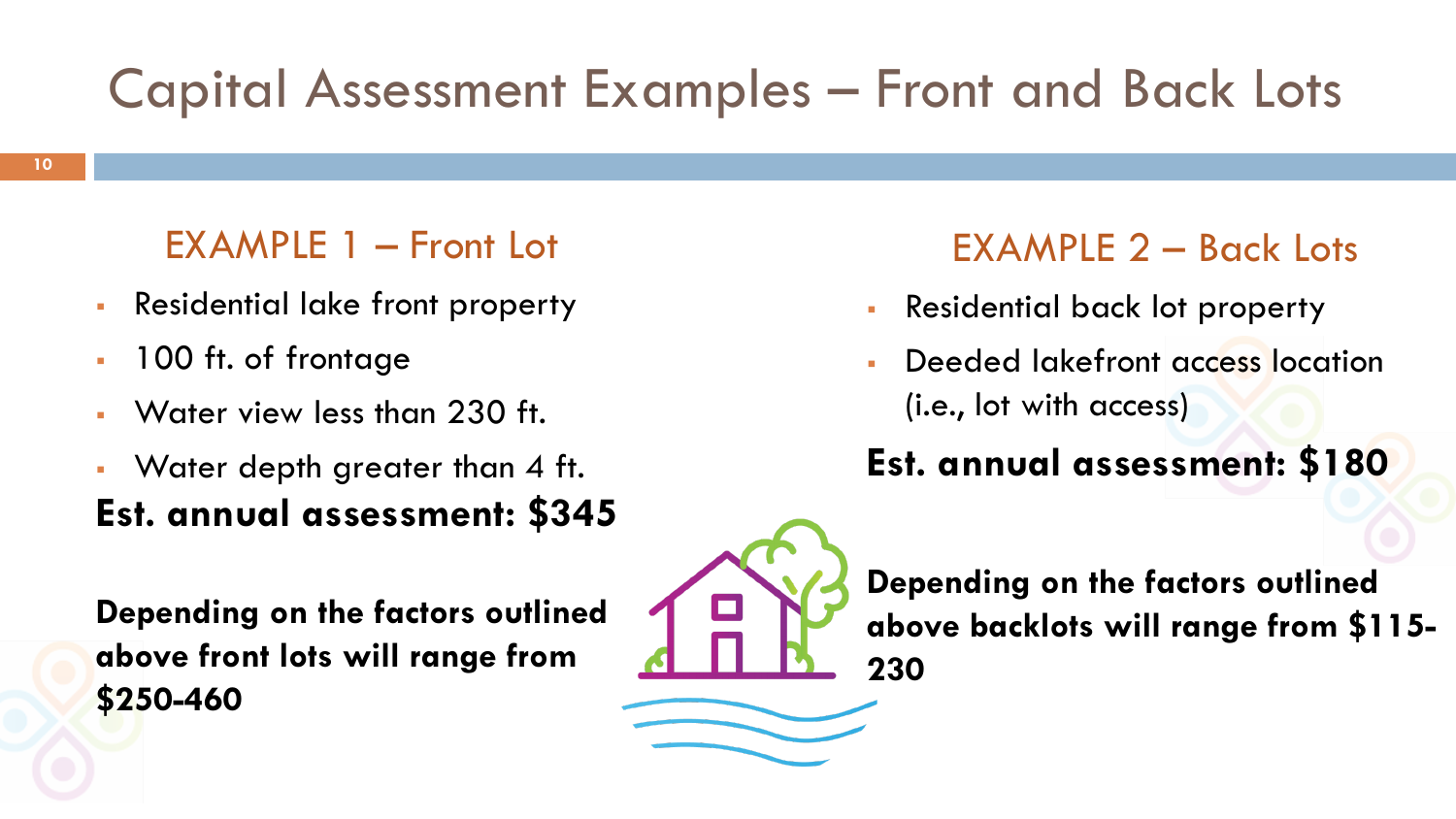#### Capital Assessment Examples – Front and Back Lots

#### EXAMPLE 1 – Front Lot

- Residential lake front property
- 100 ft. of frontage
- Water view less than 230 ft.
- Water depth greater than 4 ft. **Est. annual assessment: \$345**

**Depending on the factors outlined above front lots will range from \$250-460**

#### EXAMPLE 2 – Back Lots

- Residential back lot property
- Deeded lakefront access location (i.e., lot with access)

#### **Est. annual assessment: \$180**



**Depending on the factors outlined above backlots will range from \$115- 230**

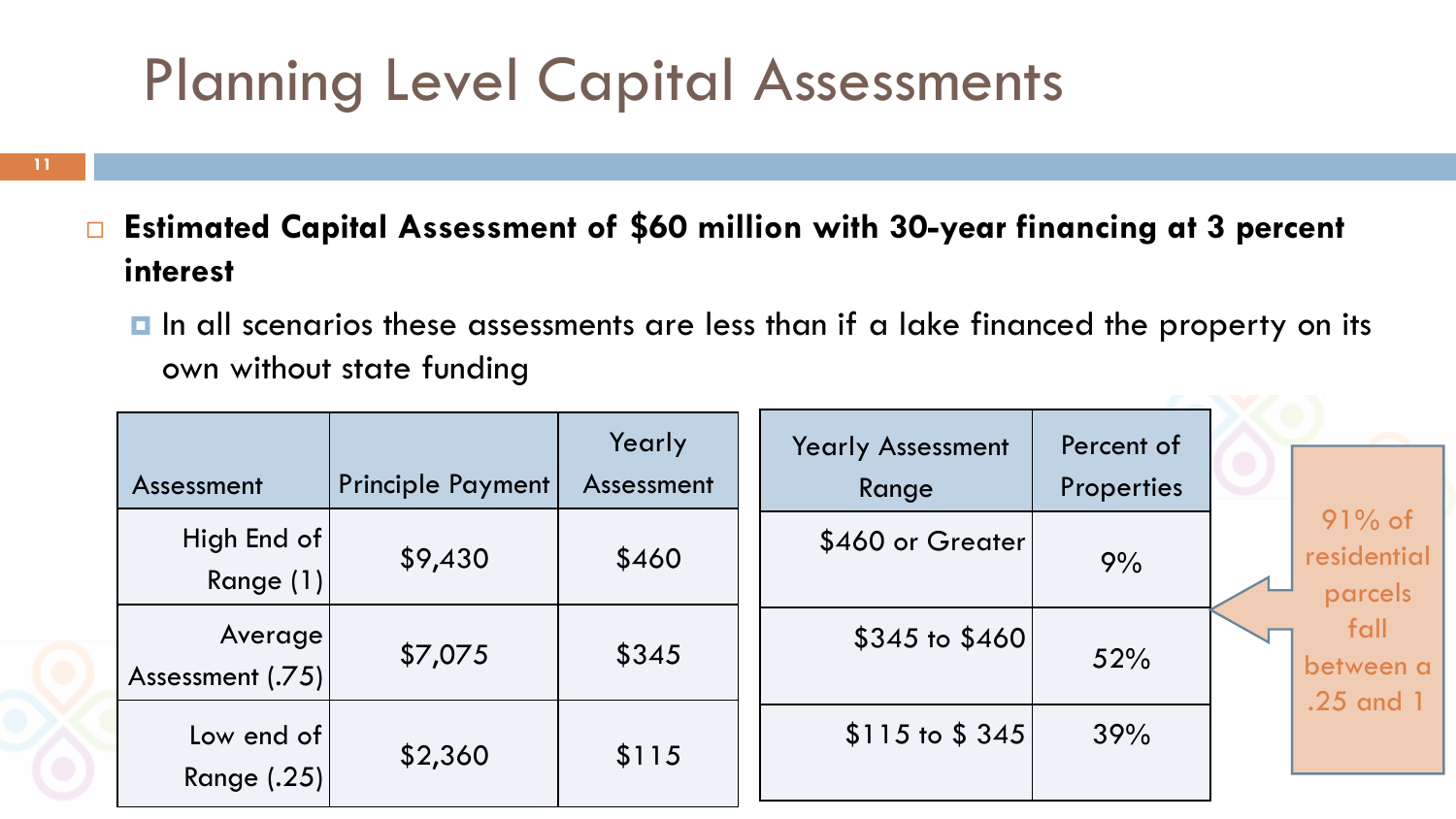### Planning Level Capital Assessments

- **Estimated Capital Assessment of \$60 million with 30-year financing at 3 percent interest**
	- In all scenarios these assessments are less than if a lake financed the property on its own without state funding

| Assessment                    | <b>Principle Payment</b> | Yearly<br>Assessment | <b>Yearly Assessment</b><br>Range | Percent of<br>Properties |                                     |
|-------------------------------|--------------------------|----------------------|-----------------------------------|--------------------------|-------------------------------------|
| High End of<br>Range $(1) $   | \$9,430                  | \$460                | \$460 or Greater                  | 9%                       | $91\%$ of<br>residential<br>parcels |
| Average<br>Assessment $(.75)$ | \$7,075                  | \$345                | $$345$ to $$460$                  | 52%                      | fall<br>between a<br>.25 and 1      |
| Low end of<br>Range (.25)     | \$2,360                  | \$115                | $$115$ to $$345$                  | 39%                      |                                     |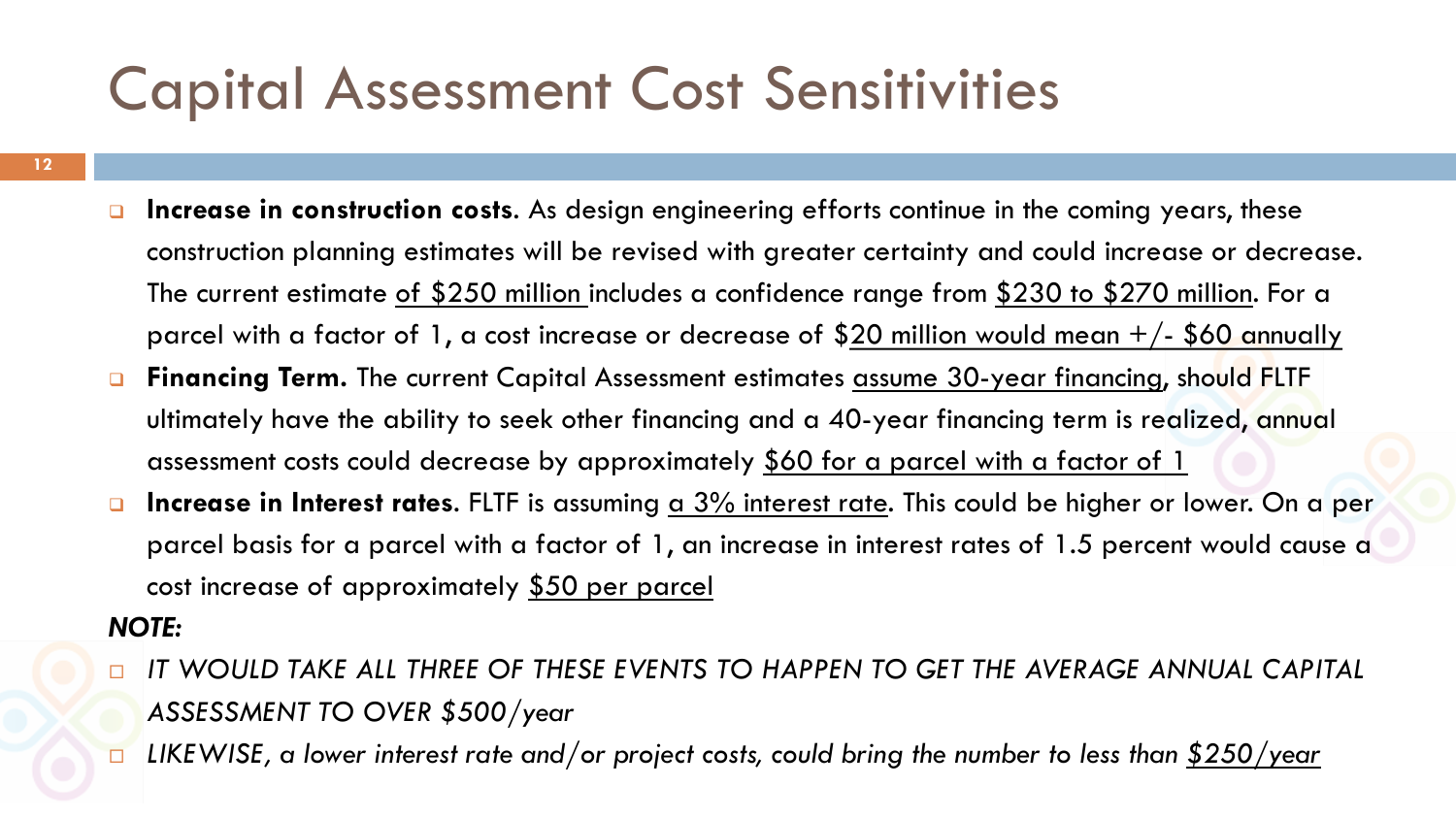### Capital Assessment Cost Sensitivities

- **12**
- **Increase in construction costs**. As design engineering efforts continue in the coming years, these construction planning estimates will be revised with greater certainty and could increase or decrease. The current estimate <u>of \$250 million i</u>ncludes a confidence range from <u>\$230 to \$270 million</u>. For a parcel with a factor of 1, a cost increase or decrease of  $$20$  million would mean  $+/-$  \$60 annually
- **Financing Term.** The current Capital Assessment estimates assume 30-year financing, should FLTF ultimately have the ability to seek other financing and a 40-year financing term is realized, annual assessment costs could decrease by approximately \$60 for a parcel with a factor of 1
- **Increase in Interest rates**. FLTF is assuming a 3% interest rate. This could be higher or lower. On a per parcel basis for a parcel with a factor of 1, an increase in interest rates of 1.5 percent would cause a cost increase of approximately \$50 per parcel

#### *NOTE:*

- *IT WOULD TAKE ALL THREE OF THESE EVENTS TO HAPPEN TO GET THE AVERAGE ANNUAL CAPITAL ASSESSMENT TO OVER \$500/year*
- *LIKEWISE, a lower interest rate and/or project costs, could bring the number to less than \$250/year*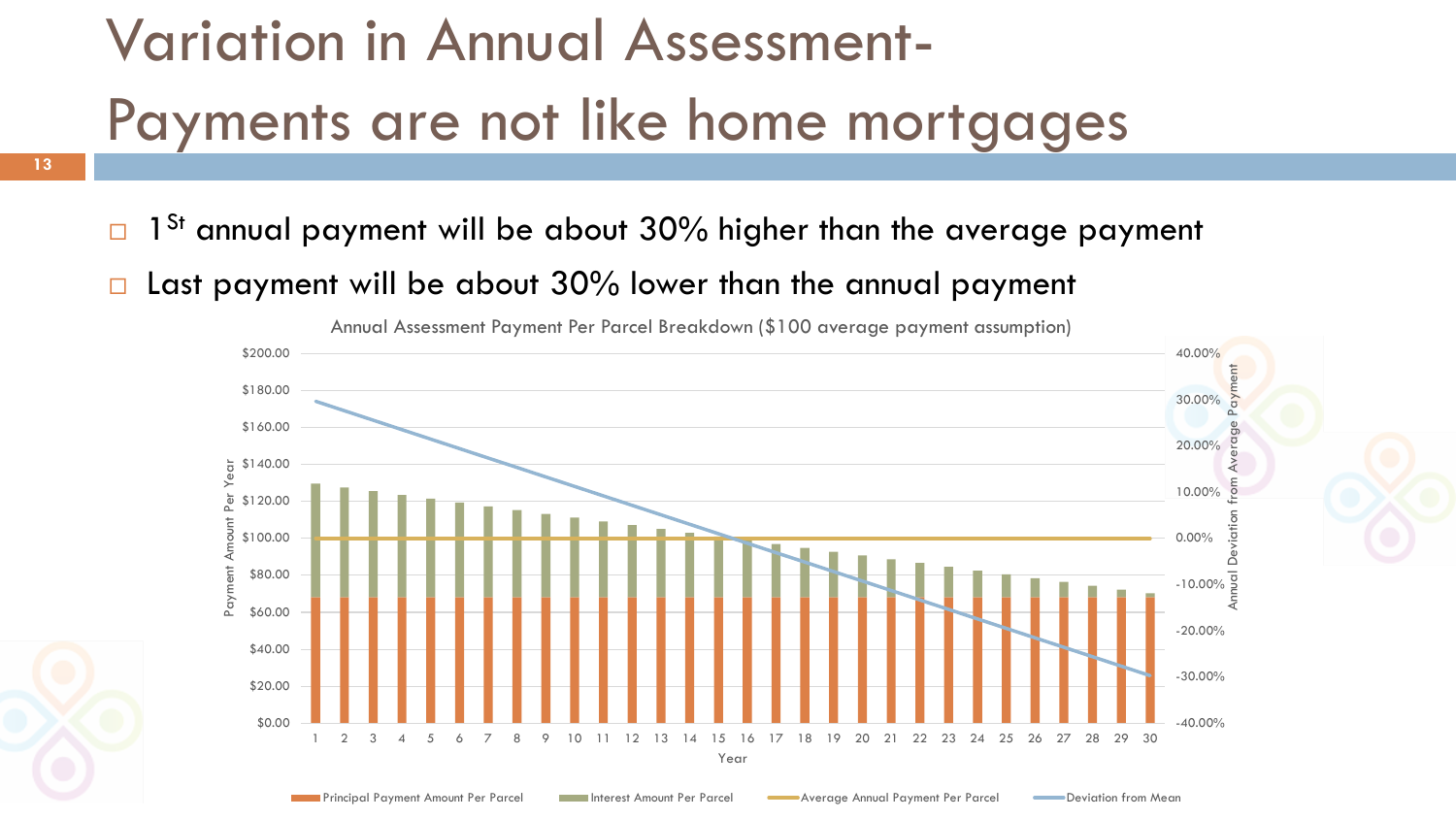# Variation in Annual Assessment-Payments are not like home mortgages

- $\Box$  1<sup>St</sup> annual payment will be about 30% higher than the average payment
- $\Box$  Last payment will be about 30% lower than the annual payment

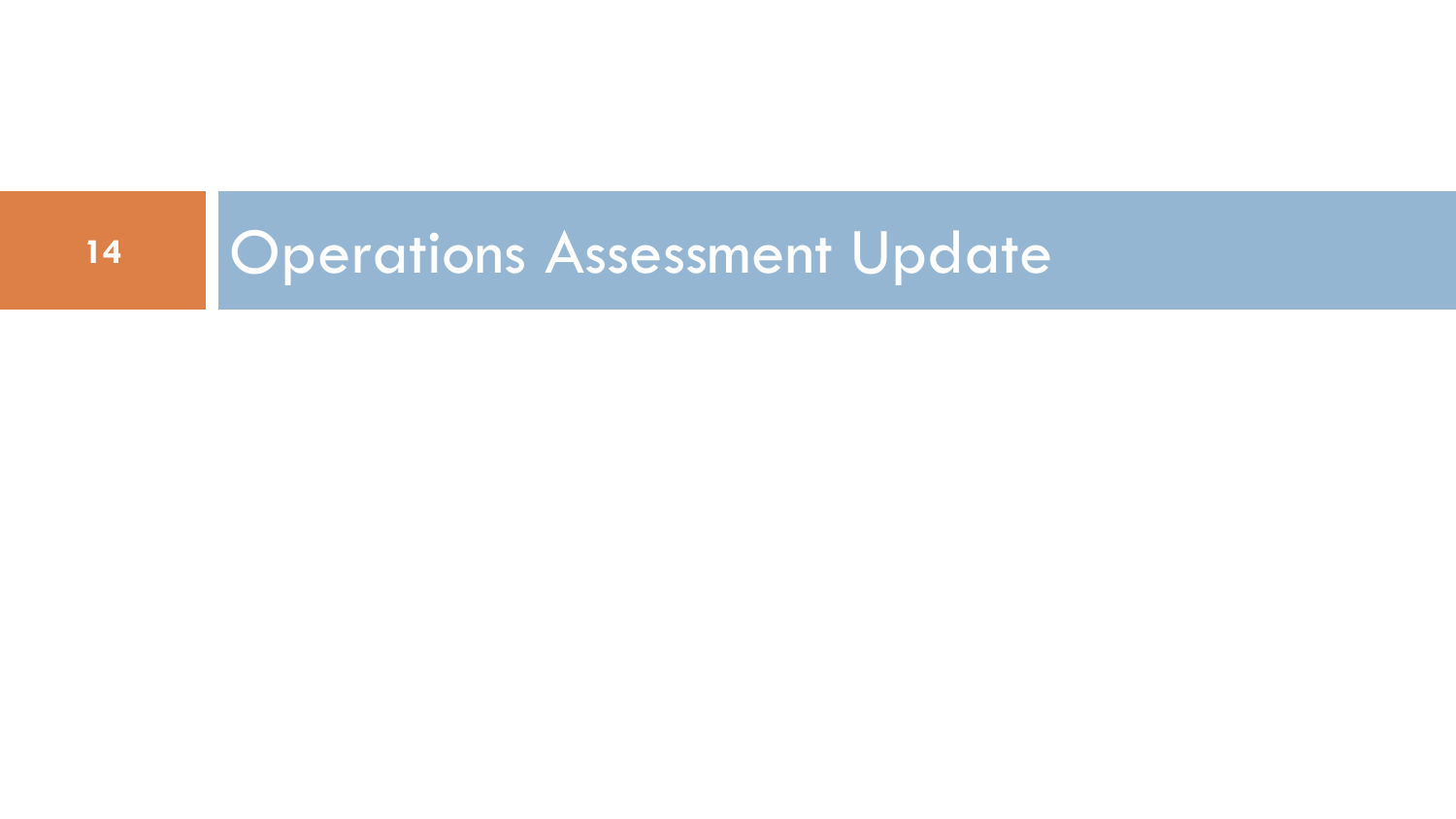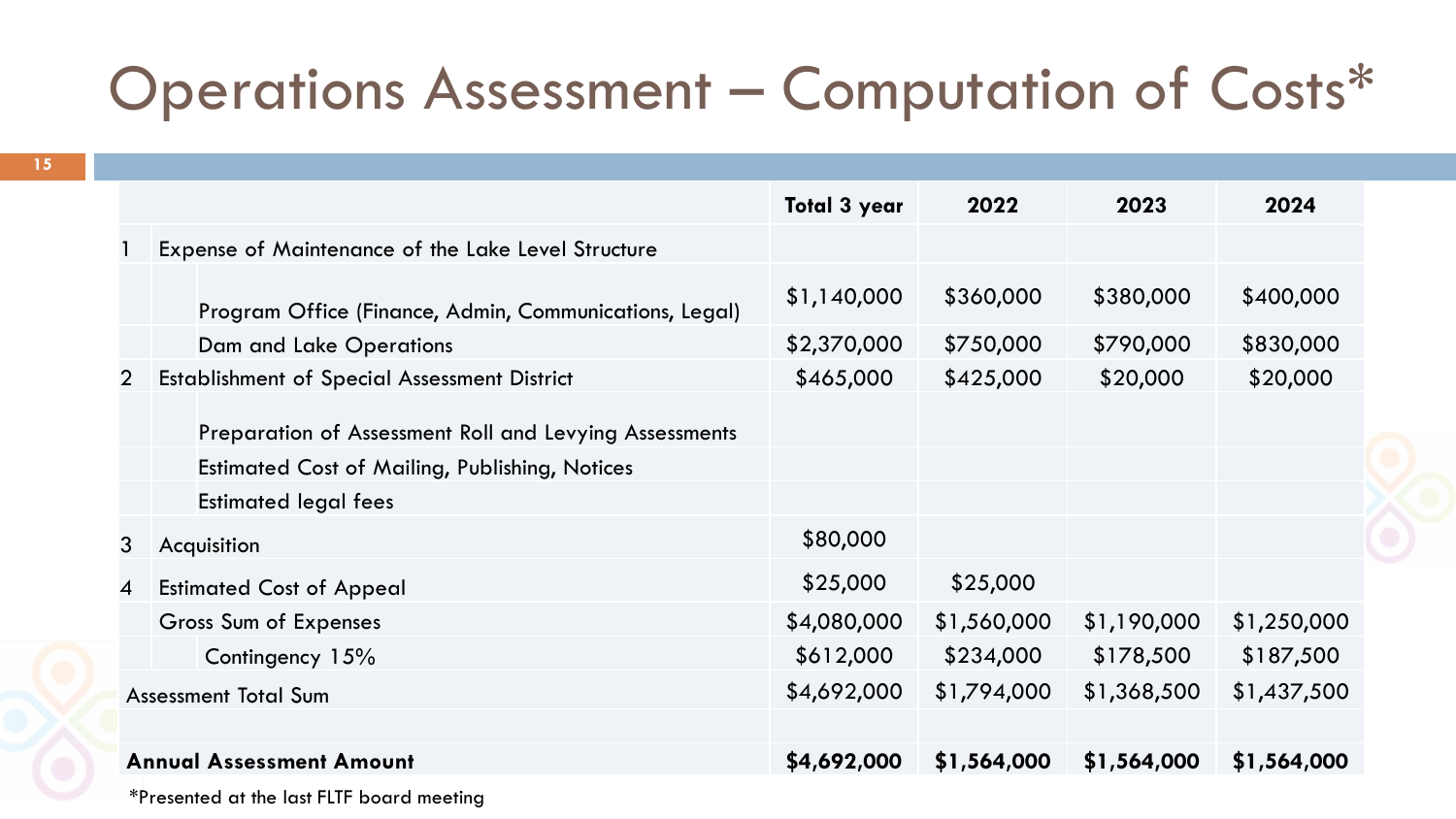### Operations Assessment – Computation of Costs\*

**15**

|   |                                                                                                                 | <b>Total 3 year</b> | 2022        | 2023        | 2024        |
|---|-----------------------------------------------------------------------------------------------------------------|---------------------|-------------|-------------|-------------|
|   | Expense of Maintenance of the Lake Level Structure                                                              |                     |             |             |             |
|   | Program Office (Finance, Admin, Communications, Legal)                                                          | \$1,140,000         | \$360,000   | \$380,000   | \$400,000   |
|   | <b>Dam and Lake Operations</b>                                                                                  | \$2,370,000         | \$750,000   | \$790,000   | \$830,000   |
| 2 | <b>Establishment of Special Assessment District</b>                                                             | \$465,000           | \$425,000   | \$20,000    | \$20,000    |
|   | Preparation of Assessment Roll and Levying Assessments<br><b>Estimated Cost of Mailing, Publishing, Notices</b> |                     |             |             |             |
|   | <b>Estimated legal fees</b>                                                                                     |                     |             |             |             |
| 3 | Acquisition                                                                                                     | \$80,000            |             |             |             |
| 4 | <b>Estimated Cost of Appeal</b>                                                                                 | \$25,000            | \$25,000    |             |             |
|   | Gross Sum of Expenses                                                                                           | \$4,080,000         | \$1,560,000 | \$1,190,000 | \$1,250,000 |
|   | Contingency 15%                                                                                                 | \$612,000           | \$234,000   | \$178,500   | \$187,500   |
|   | <b>Assessment Total Sum</b>                                                                                     | \$4,692,000         | \$1,794,000 | \$1,368,500 | \$1,437,500 |
|   | <b>Annual Assessment Amount</b>                                                                                 | \$4,692,000         | \$1,564,000 | \$1,564,000 | \$1,564,000 |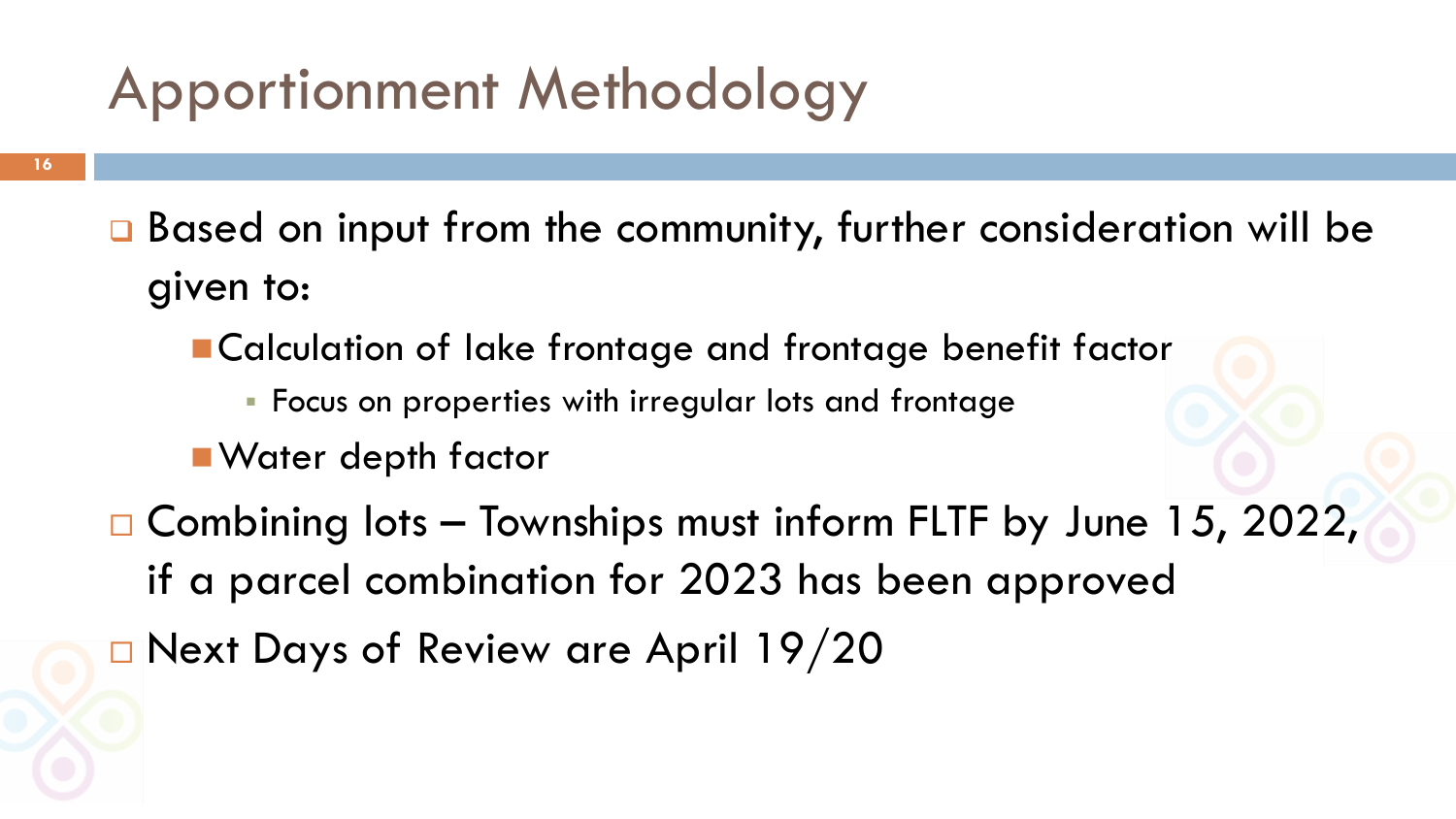### Apportionment Methodology

- □ Based on input from the community, further consideration will be given to:
	- ■Calculation of lake frontage and frontage benefit factor
		- Focus on properties with irregular lots and frontage
	- Water depth factor
- $\Box$  Combining lots Townships must inform FLTF by June 15, 2022, if a parcel combination for 2023 has been approved
- □ Next Days of Review are April 19/20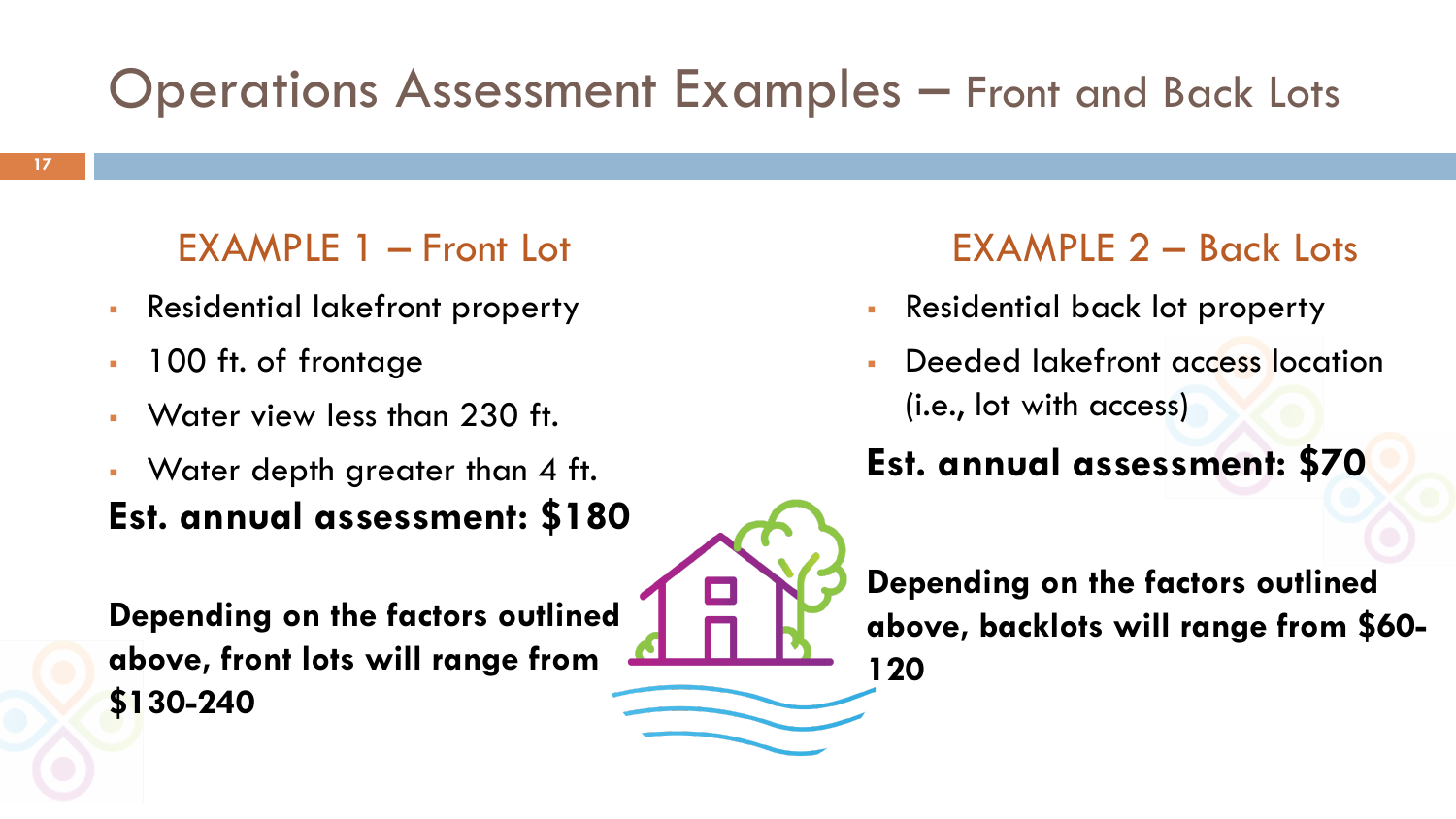#### Operations Assessment Examples – Front and Back Lots

#### EXAMPLE 1 – Front Lot

- Residential lakefront property
- **100 ft. of frontage**
- Water view less than 230 ft.
- Water depth greater than 4 ft. **Est. annual assessment: \$180**

**Depending on the factors outlined above, front lots will range from \$130-240**

#### EXAMPLE 2 – Back Lots

- Residential back lot property
- Deeded lakefront access location (i.e., lot with access)

#### **Est. annual assessment: \$70**

**Depending on the factors outlined above, backlots will range from \$60- 120**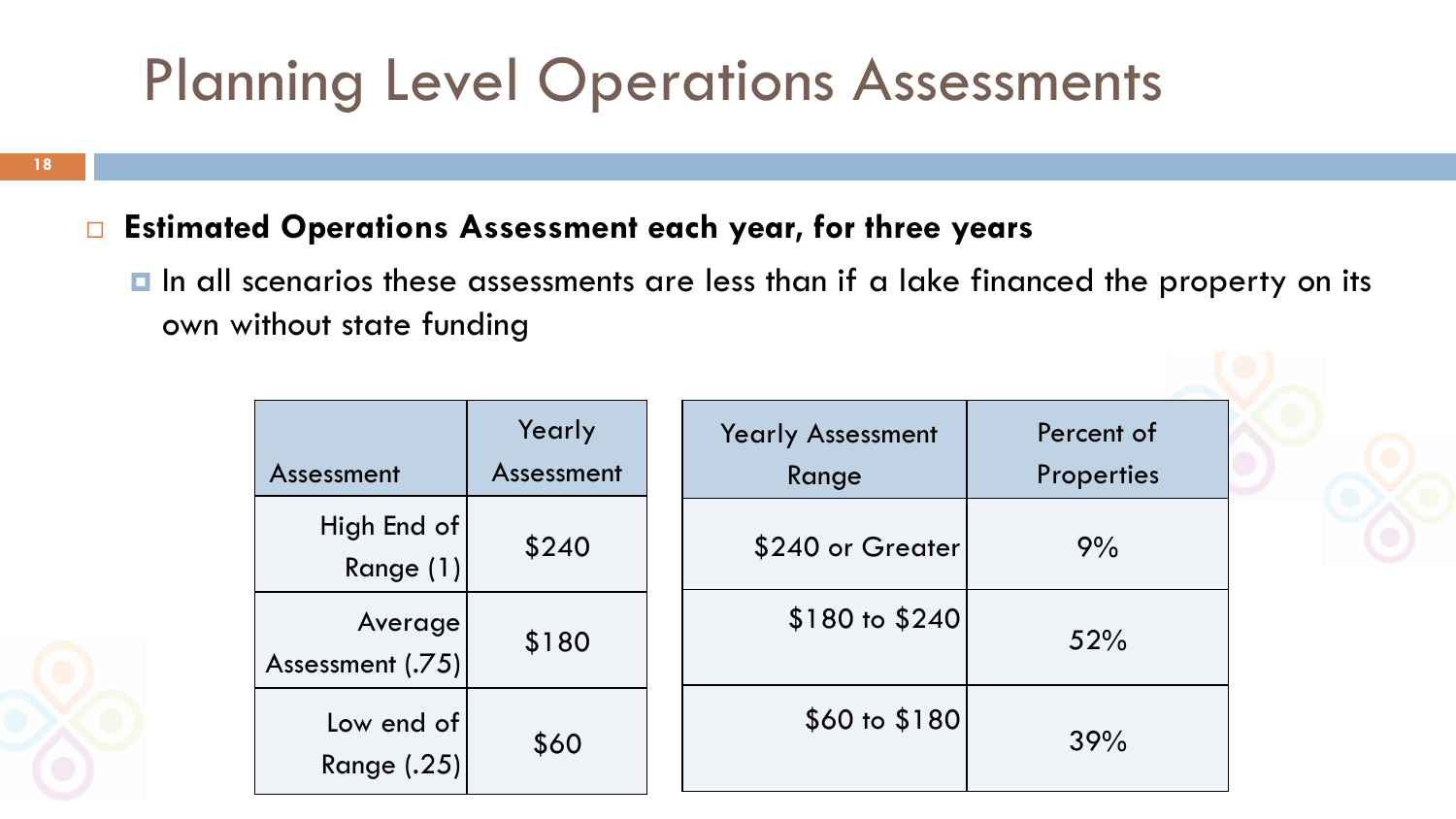### Planning Level Operations Assessments

**18**

#### **Estimated Operations Assessment each year, for three years**

In all scenarios these assessments are less than if a lake financed the property on its own without state funding

| Assessment                  | Yearly<br>Assessment | <b>Yearly Assessment</b><br>Range | Percent of<br><b>Properties</b> |
|-----------------------------|----------------------|-----------------------------------|---------------------------------|
| High End of<br>Range (1)    | \$240                | \$240 or Greater                  | 9%                              |
| Average<br>Assessment (.75) | \$180                | \$180 to \$240                    | 52%                             |
| Low end of<br>Range (.25)   | \$60                 | \$60 to \$180                     | 39%                             |

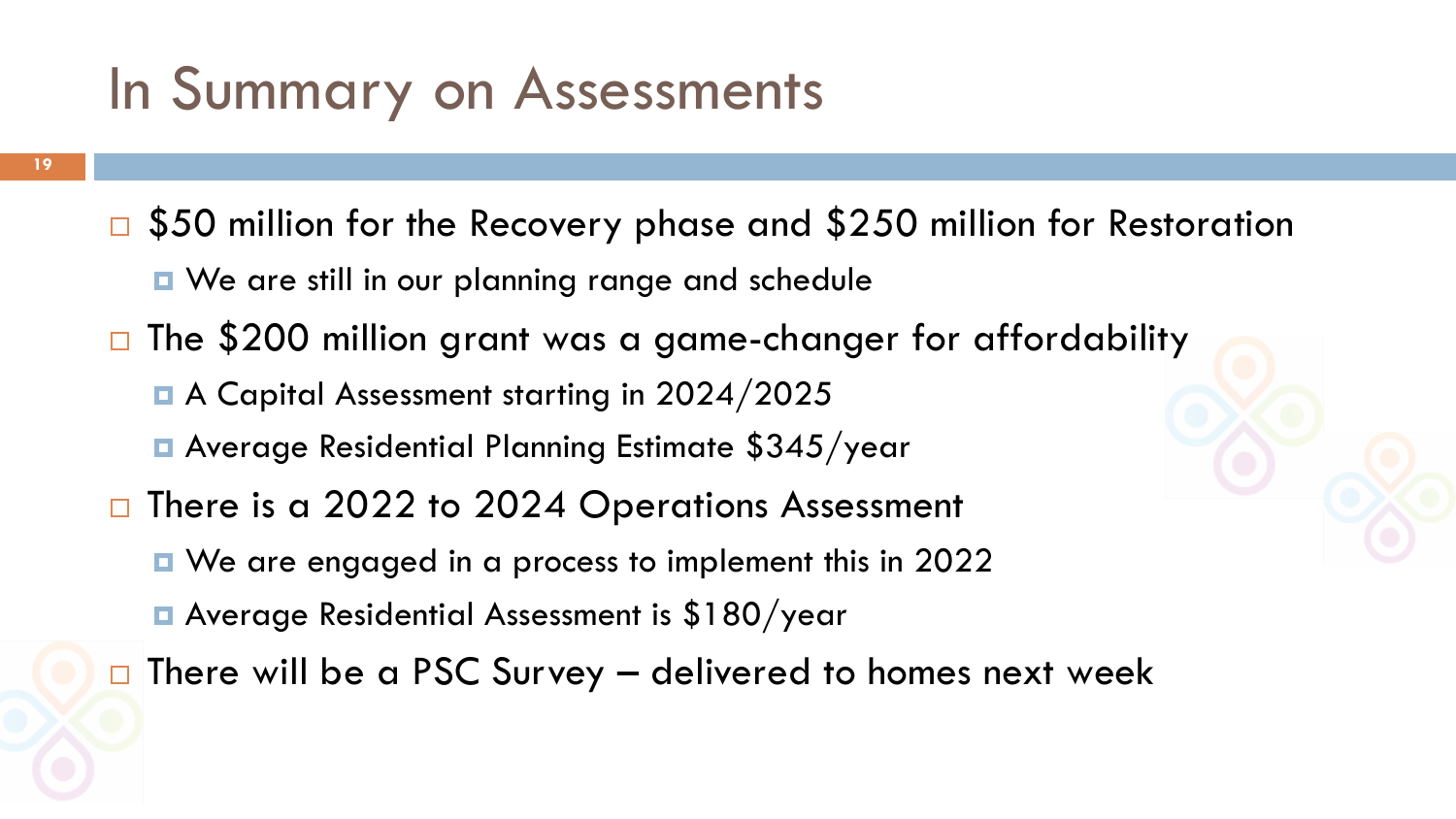#### In Summary on Assessments

 $\sqrt{550}$  million for the Recovery phase and \$250 million for Restoration **D** We are still in our planning range and schedule □ The \$200 million grant was a game-changer for affordability ■ A Capital Assessment starting in 2024/2025 **E** Average Residential Planning Estimate \$345/year □ There is a 2022 to 2024 Operations Assessment ■ We are engaged in a process to implement this in 2022 Average Residential Assessment is \$180/year  $\Box$  There will be a PSC Survey – delivered to homes next week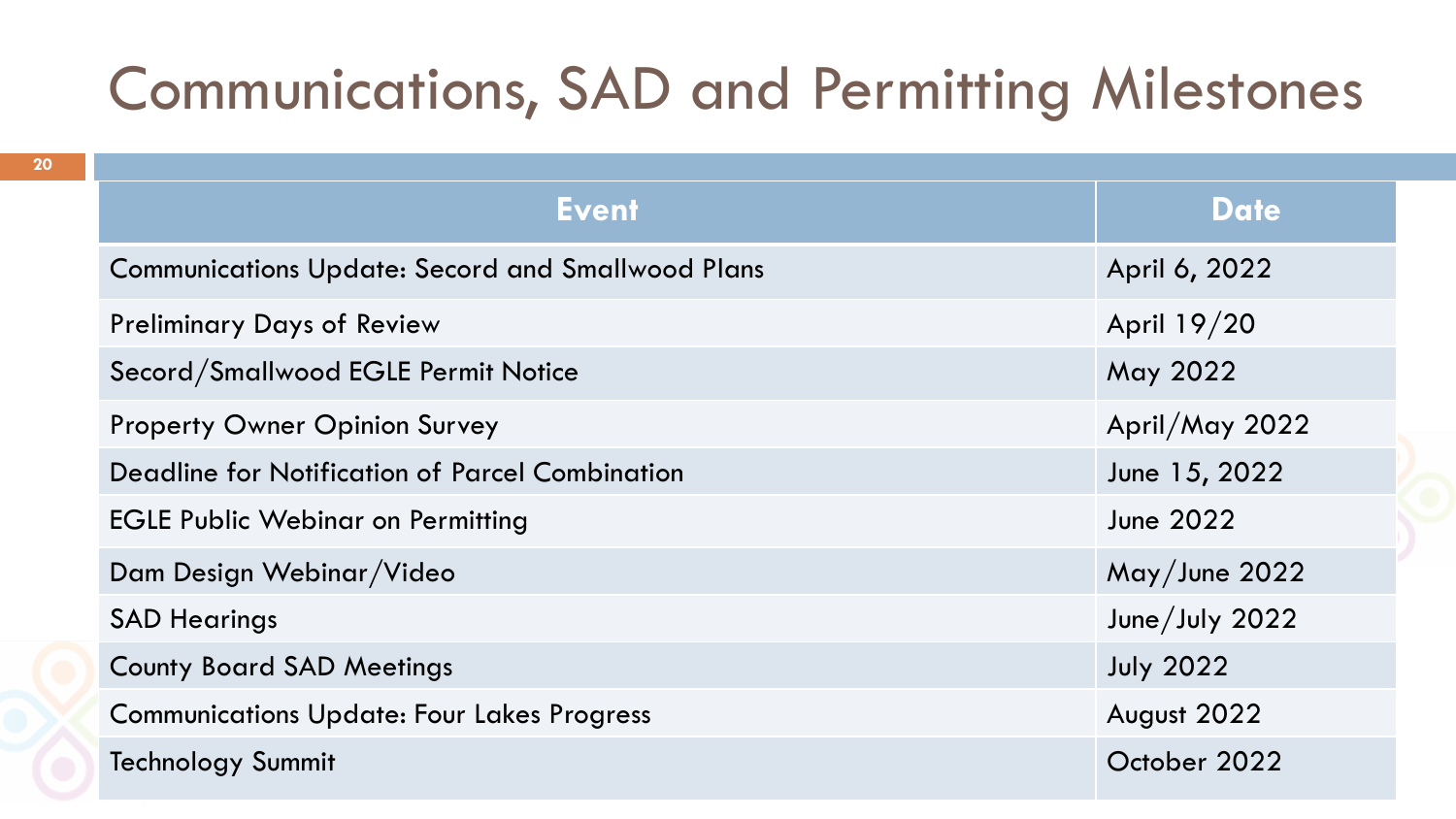### Communications, SAD and Permitting Milestones

| <b>Event</b>                                             | <b>Date</b>      |
|----------------------------------------------------------|------------------|
| <b>Communications Update: Secord and Smallwood Plans</b> | April 6, 2022    |
| <b>Preliminary Days of Review</b>                        | April 19/20      |
| Secord/Smallwood EGLE Permit Notice                      | May 2022         |
| <b>Property Owner Opinion Survey</b>                     | April/May 2022   |
| <b>Deadline for Notification of Parcel Combination</b>   | June 15, 2022    |
| <b>EGLE Public Webinar on Permitting</b>                 | June 2022        |
| Dam Design Webinar/Video                                 | May/June 2022    |
| <b>SAD Hearings</b>                                      | June/July 2022   |
| <b>County Board SAD Meetings</b>                         | <b>July 2022</b> |
| <b>Communications Update: Four Lakes Progress</b>        | August 2022      |
| <b>Technology Summit</b>                                 | October 2022     |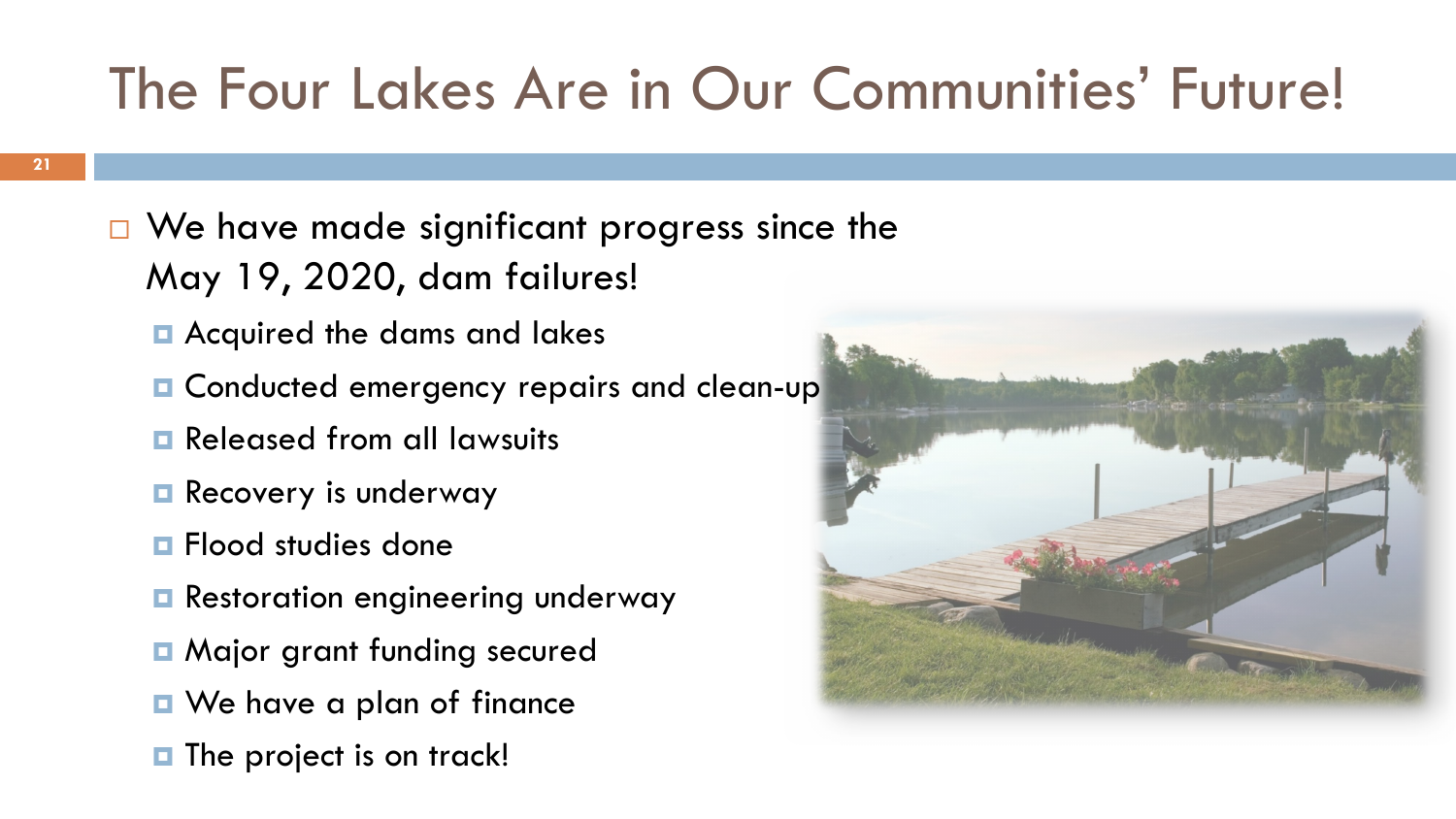# The Four Lakes Are in Our Communities' Future!

- $\Box$  We have made significant progress since the May 19, 2020, dam failures!
	- **E** Acquired the dams and lakes
	- **Q** Conducted emergency repairs and clean-up
	- **Released from all lawsuits**
	- **Recovery is underway**
	- **<u>n</u>** Flood studies done
	- **Restoration engineering underway**
	- **<u>n</u>** Major grant funding secured
	- **D** We have a plan of finance
	- $\blacksquare$  The project is on track!

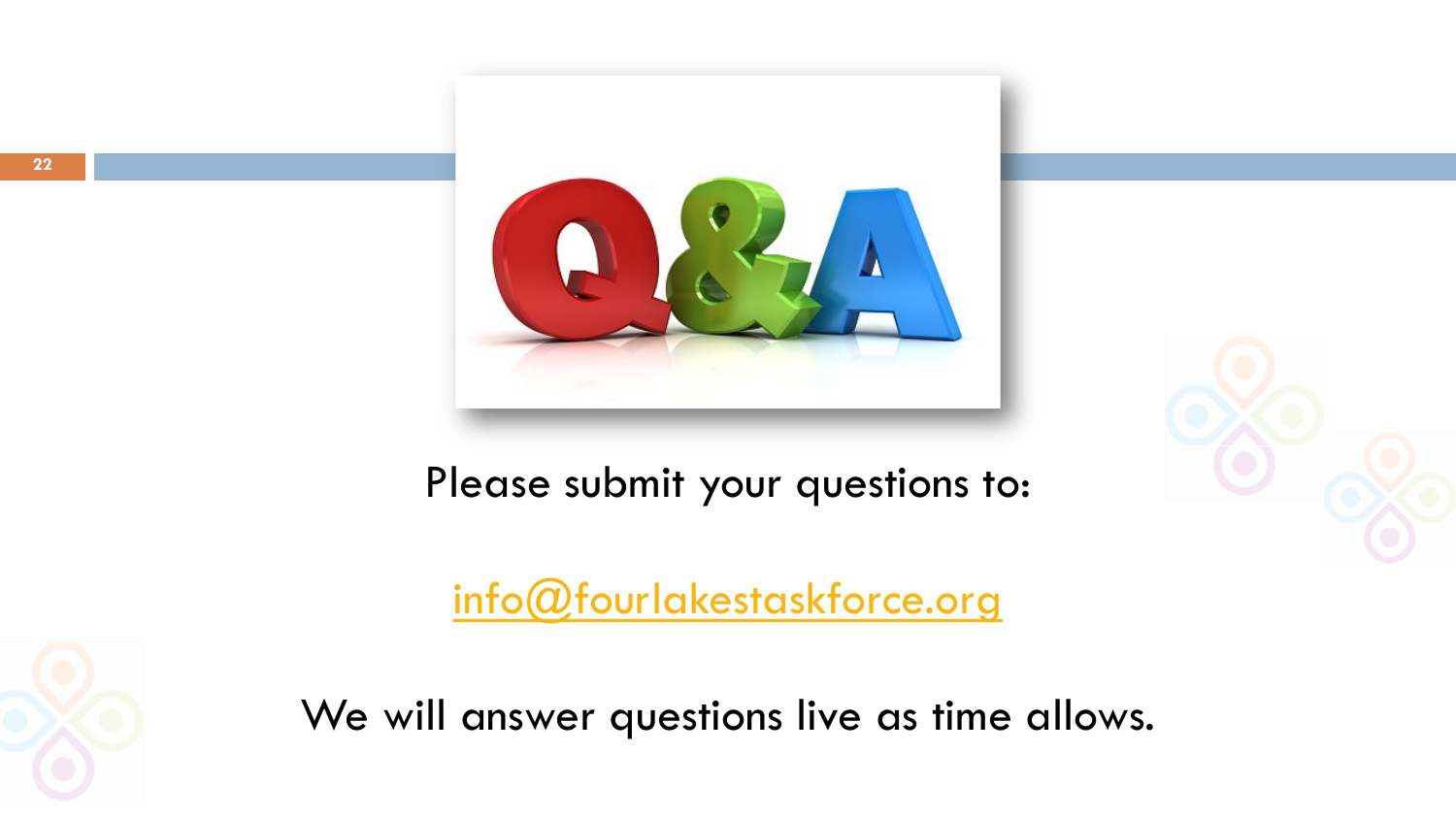

Please submit your questions to:

[info@fourlakestaskforce.org](mailto:info@fourlakestaskforce.org)



We will answer questions live as time allows.